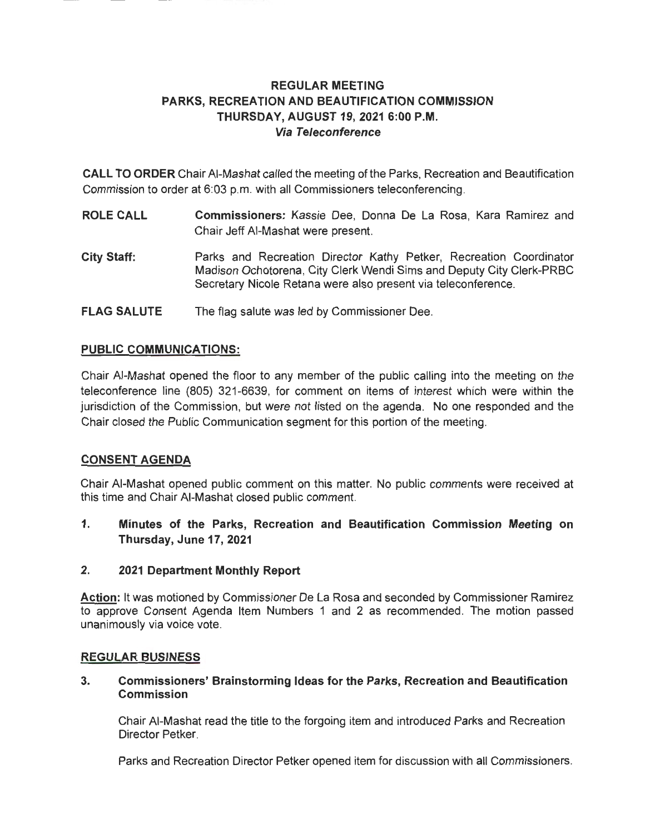## **REGULAR MEETING PARKS, RECREATION AND BEAUTIFICATION COMMISSION THURSDAY, AUGUST 19, 2021 6:00 P.M. Via Teleconference**

**CALL TO ORDER** Chair AI-Mashat called the meeting of the Parks, Recreation and Beautification Commission to order at 6:03 p.m. with all Commissioners teleconferencing.

- **ROLE CALL Commissioners:** Kassie Dee, Donna De La Rosa, Kara Ramirez and Chair Jeff AI-Mashat were present.
- **City Staff:**  Parks and Recreation Director Kathy Petker, Recreation Coordinator Madison Ochotorena, City Clerk Wendi Sims and Deputy City Clerk-PRBC Secretary Nicole Retana were also present via teleconference.
- **FLAG SALUTE**  The flag salute was led by Commissioner Dee.

## **PUBLIC COMMUNICATIONS:**

Chair AI-Mashat opened the floor to any member of the public calling into the meeting on the teleconference line (805) 321-6639, for comment on items of interest which were within the jurisdiction of the Commission, but were not listed on the agenda. No one responded and the Chair closed the Public Communication segment for this portion of the meeting.

### **CONSENT AGENDA**

Chair AI-Mashat opened public comment on this matter. No public comments were received at this time and Chair AI-Mashat closed public comment.

**1. Minutes of the Parks, Recreation and Beautification Commission Meeting on Thursday, June 17, 2021** 

### **2. 2021 Department Monthly Report**

**Action:** It was motioned by Commissioner De La Rosa and seconded by Commissioner Ramirez to approve Consent Agenda Item Numbers 1 and 2 as recommended. The motion passed unanimously via voice vote.

### **REGULAR BUSINESS**

### **3. Commissioners' Brainstorming Ideas for the Parks, Recreation and Beautification Commission**

Chair AI-Mashat read the title to the forgoing item and introduced Parks and Recreation Director Petker.

Parks and Recreation Director Petker opened item for discussion with all Commissioners.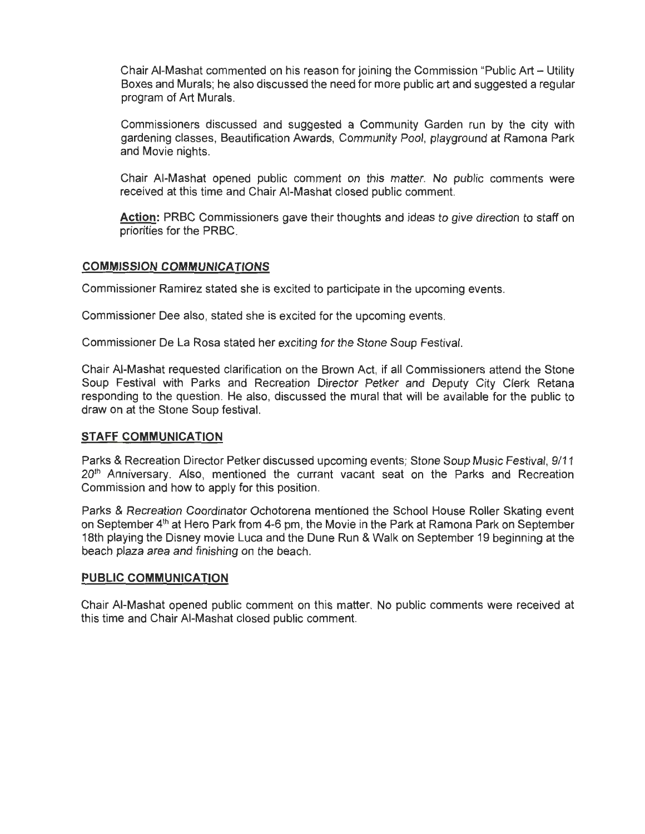Chair AI-Mashat commented on his reason for joining the Commission "Public Art - Utility Boxes and Murals; he also discussed the need for more public art and suggested a regular program of Art Murals.

Commissioners discussed and suggested a Community Garden run by the city with gardening classes, Beautification Awards, Community Pool, playground at Ramona Park and Movie nights.

Chair AI-Mashat opened public comment on this matter. No public comments were received at this time and Chair AI-Mashat closed public comment.

**Action:** PRBC Commissioners gave their thoughts and ideas to give direction to staff on priorities for the PRBC.

#### **COMMISSION COMMUNICATIONS**

Commissioner Ramirez stated she is excited to participate in the upcoming events.

Commissioner Dee also, stated she is excited for the upcoming events.

Commissioner De La Rosa stated her exciting for the Stone Soup Festival.

Chair AI-Mashat requested clarification on the Brown Act, if all Commissioners attend the Stone Soup Festival with Parks and Recreation Director Petker and Deputy City Clerk Retana responding to the question. He also, discussed the mural that will be available for the public to draw on at the Stone Soup festival.

#### **STAFF COMMUNICATION**

Parks & Recreation Director Petker discussed upcoming events; Stone Soup Music Festival, 9/11 20<sup>th</sup> Anniversary. Also, mentioned the currant vacant seat on the Parks and Recreation Commission and how to apply for this position.

Parks & Recreation Coordinator Ochotorena mentioned the School House Roller Skating event on September 4<sup>th</sup> at Hero Park from 4-6 pm, the Movie in the Park at Ramona Park on September 18th playing the Disney movie Luca and the Dune Run & Walk on September 19 beginning at the beach plaza area and finishing on the beach.

### **PUBLIC COMMUNICATION**

Chair AI-Mashat opened public comment on this matter. No public comments were received at this time and Chair AI-Mashat closed public comment.